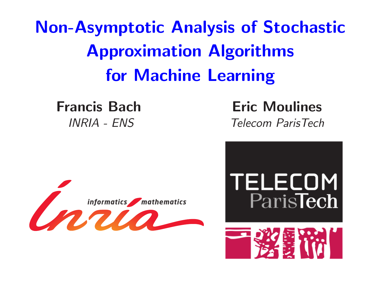Non-Asymptotic Analysis of Stochastic Approximation Algorithms for Machine Learning

Francis Bach Eric Moulines INRIA - ENS Telecom ParisTech



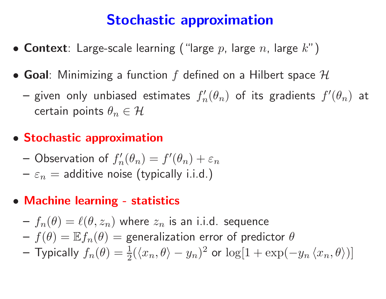# Stochastic approximation

- $\bullet$  Context: Large-scale learning ("large  $p$ , large  $n$ , large  $k$ ")
- Goal: Minimizing a function  $f$  defined on a Hilbert space  $\mathcal H$ 
	- given only unbiased estimates  $f'_n$  $f'(\theta_n)$  of its gradients  $f'(\theta_n)$  at certain points  $\theta_n \in \mathcal{H}$

## • Stochastic approximation

- $-$  Observation of  $f_n'$  $f_n'(\theta_n) = f'(\theta_n) + \varepsilon_n$
- $\texttt{-} \varepsilon_n =$  additive noise (typically i.i.d.)
- Machine learning statistics
	- $f -_n(\theta) = \ell(\theta, z_n)$  where  $z_n$  is an i.i.d. sequence  $f(\theta)=\mathbb{E} f_n(\theta)=$  generalization error of predictor  $\theta$  $-$  Typically  $f_n(\theta) = \frac{1}{2}$  $\frac{1}{2}(\langle x_n,\theta\rangle-y_n)^2$  or  $\log[1+\exp(-y_n\,\langle x_n,\theta\rangle)]$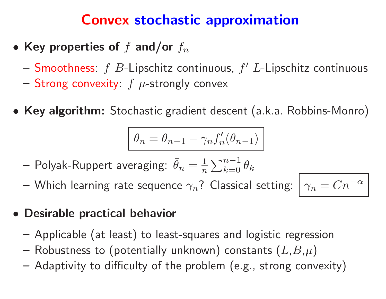# Convex stochastic approximation

- Key properties of  $f$  and/or  $f_n$ 
	- Smoothness:  $f$  B-Lipschitz continuous,  $f'$  L-Lipschitz continuous
	- Strong convexity:  $f \mu$ -strongly convex
- Key algorithm: Stochastic gradient descent (a.k.a. Robbins-Monro)

$$
\theta_n = \theta_{n-1} - \gamma_n f'_n(\theta_{n-1})
$$

- Polyak-Ruppert averaging:  $\bar{\theta}_n = \frac{1}{n} \sum_{k=0}^{n-1} \theta_k$
- Which learning rate sequence  $\gamma_n$ ? Classical setting:

$$
\gamma_n = C n^{-\alpha}
$$

- Desirable practical behavior
	- Applicable (at least) to least-squares and logistic regression
	- Robustness to (potentially unknown) constants  $(L,B,\mu)$
	- Adaptivity to difficulty of the problem (e.g., strong convexity)